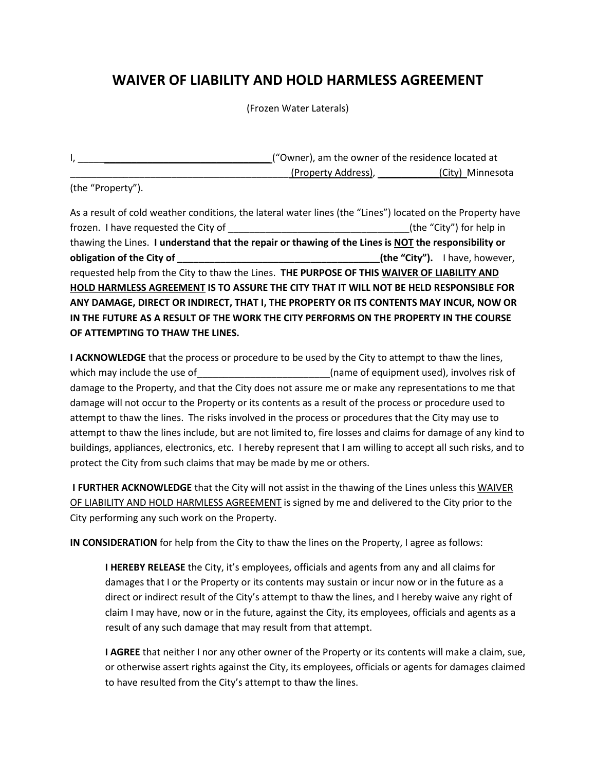## **WAIVER OF LIABILITY AND HOLD HARMLESS AGREEMENT**

(Frozen Water Laterals)

|                     | ("Owner), am the owner of the residence located at |
|---------------------|----------------------------------------------------|
| (Property Address), | (City) Minnesota                                   |

(the "Property").

As a result of cold weather conditions, the lateral water lines (the "Lines") located on the Property have frozen. I have requested the City of the theorem is the top of the "City") for help in thawing the Lines. **I understand that the repair or thawing of the Lines is NOT the responsibility or obligation of the City of building the City of the "City").** I have, however, requested help from the City to thaw the Lines. **THE PURPOSE OF THIS WAIVER OF LIABILITY AND HOLD HARMLESS AGREEMENT IS TO ASSURE THE CITY THAT IT WILL NOT BE HELD RESPONSIBLE FOR ANY DAMAGE, DIRECT OR INDIRECT, THAT I, THE PROPERTY OR ITS CONTENTS MAY INCUR, NOW OR IN THE FUTURE AS A RESULT OF THE WORK THE CITY PERFORMS ON THE PROPERTY IN THE COURSE OF ATTEMPTING TO THAW THE LINES.**

**I ACKNOWLEDGE** that the process or procedure to be used by the City to attempt to thaw the lines, which may include the use of entity and the use of equipment used), involves risk of damage to the Property, and that the City does not assure me or make any representations to me that damage will not occur to the Property or its contents as a result of the process or procedure used to attempt to thaw the lines. The risks involved in the process or procedures that the City may use to attempt to thaw the lines include, but are not limited to, fire losses and claims for damage of any kind to buildings, appliances, electronics, etc. I hereby represent that I am willing to accept all such risks, and to protect the City from such claims that may be made by me or others.

**I FURTHER ACKNOWLEDGE** that the City will not assist in the thawing of the Lines unless this WAIVER OF LIABILITY AND HOLD HARMLESS AGREEMENT is signed by me and delivered to the City prior to the City performing any such work on the Property.

**IN CONSIDERATION** for help from the City to thaw the lines on the Property, I agree as follows:

**I HEREBY RELEASE** the City, it's employees, officials and agents from any and all claims for damages that I or the Property or its contents may sustain or incur now or in the future as a direct or indirect result of the City's attempt to thaw the lines, and I hereby waive any right of claim I may have, now or in the future, against the City, its employees, officials and agents as a result of any such damage that may result from that attempt.

**I AGREE** that neither I nor any other owner of the Property or its contents will make a claim, sue, or otherwise assert rights against the City, its employees, officials or agents for damages claimed to have resulted from the City's attempt to thaw the lines.